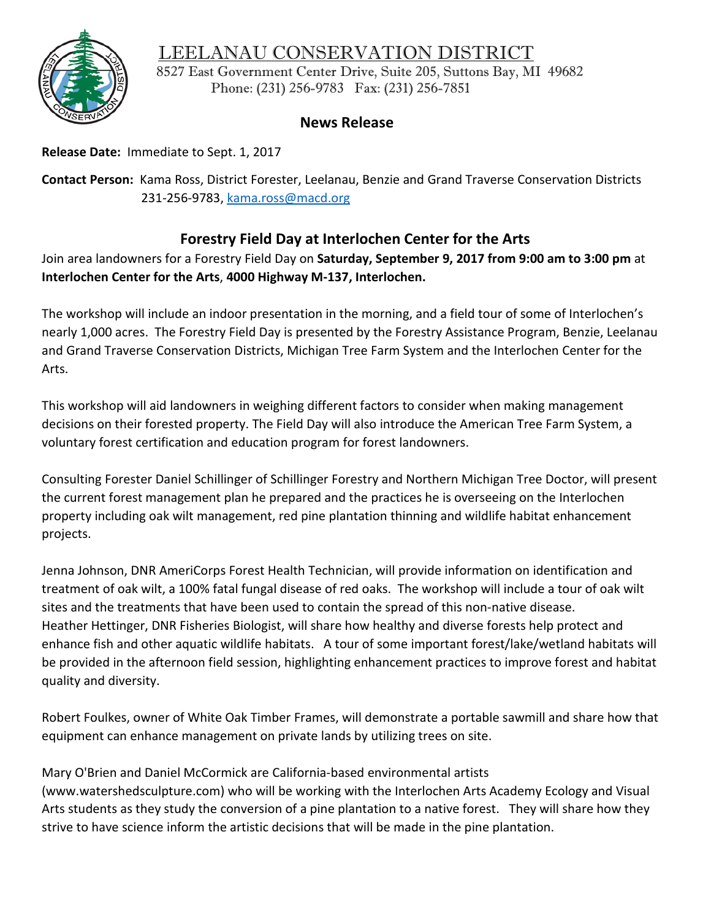## LEELANAU CONSERVATION DISTRICT



8527 East Government Center Drive, Suite 205, Suttons Bay, MI 49682 Phone: (231) 256-9783 Fax: (231) 256-7851

## **News Release**

**Release Date:** Immediate to Sept. 1, 2017

**Contact Person:** Kama Ross, District Forester, Leelanau, Benzie and Grand Traverse Conservation Districts 231-256-9783, [kama.ross@macd.org](mailto:kama.ross@macd.org)

## **Forestry Field Day at Interlochen Center for the Arts**

Join area landowners for a Forestry Field Day on **Saturday, September 9, 2017 from 9:00 am to 3:00 pm** at **Interlochen Center for the Arts**, **4000 Highway M-137, Interlochen.**

The workshop will include an indoor presentation in the morning, and a field tour of some of Interlochen's nearly 1,000 acres. The Forestry Field Day is presented by the Forestry Assistance Program, Benzie, Leelanau and Grand Traverse Conservation Districts, Michigan Tree Farm System and the Interlochen Center for the Arts.

This workshop will aid landowners in weighing different factors to consider when making management decisions on their forested property. The Field Day will also introduce the American Tree Farm System, a voluntary forest certification and education program for forest landowners.

Consulting Forester Daniel Schillinger of Schillinger Forestry and Northern Michigan Tree Doctor, will present the current forest management plan he prepared and the practices he is overseeing on the Interlochen property including oak wilt management, red pine plantation thinning and wildlife habitat enhancement projects.

Jenna Johnson, DNR AmeriCorps Forest Health Technician, will provide information on identification and treatment of oak wilt, a 100% fatal fungal disease of red oaks. The workshop will include a tour of oak wilt sites and the treatments that have been used to contain the spread of this non-native disease. Heather Hettinger, DNR Fisheries Biologist, will share how healthy and diverse forests help protect and enhance fish and other aquatic wildlife habitats. A tour of some important forest/lake/wetland habitats will be provided in the afternoon field session, highlighting enhancement practices to improve forest and habitat quality and diversity.

Robert Foulkes, owner of White Oak Timber Frames, will demonstrate a portable sawmill and share how that equipment can enhance management on private lands by utilizing trees on site.

Mary O'Brien and Daniel McCormick are California-based environmental artists

(www.watershedsculpture.com) who will be working with the Interlochen Arts Academy Ecology and Visual Arts students as they study the conversion of a pine plantation to a native forest. They will share how they strive to have science inform the artistic decisions that will be made in the pine plantation.